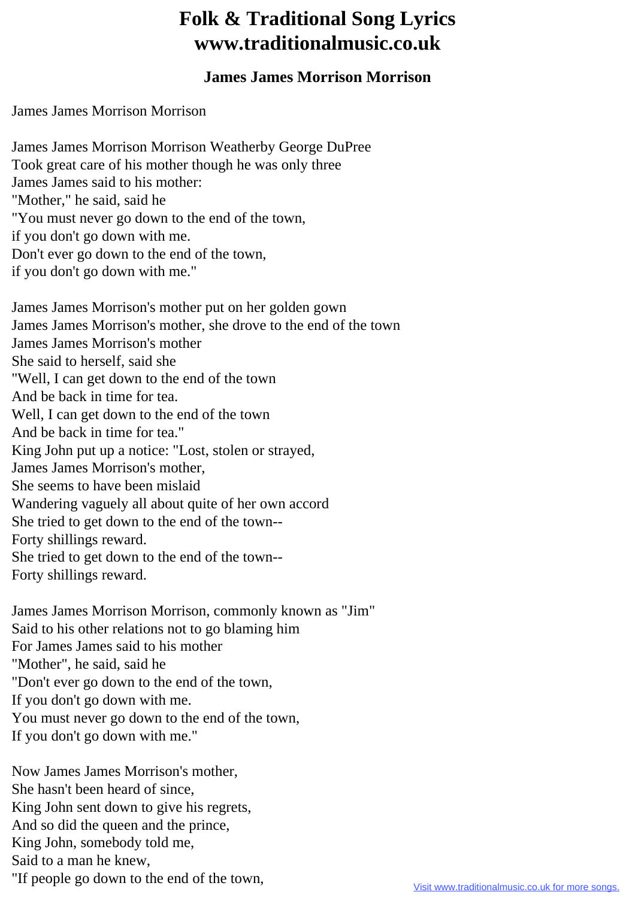## **Folk & Traditional Song Lyrics www.traditionalmusic.co.uk**

## **James James Morrison Morrison**

James James Morrison Morrison

- James James Morrison Morrison Weatherby George DuPree Took great care of his mother though he was only three James James said to his mother: "Mother," he said, said he "You must never go down to the end of the town, if you don't go down with me. Don't ever go down to the end of the town, if you don't go down with me." James James Morrison's mother put on her golden gown James James Morrison's mother, she drove to the end of the town James James Morrison's mother She said to herself, said she "Well, I can get down to the end of the town And be back in time for tea. Well, I can get down to the end of the town And be back in time for tea." King John put up a notice: "Lost, stolen or strayed, James James Morrison's mother, She seems to have been mislaid Wandering vaguely all about quite of her own accord
- She tried to get down to the end of the town--
- Forty shillings reward.
- She tried to get down to the end of the town--
- Forty shillings reward.
- James James Morrison Morrison, commonly known as "Jim" Said to his other relations not to go blaming him For James James said to his mother "Mother", he said, said he "Don't ever go down to the end of the town, If you don't go down with me. You must never go down to the end of the town, If you don't go down with me."

Now James James Morrison's mother, She hasn't been heard of since, King John sent down to give his regrets, And so did the queen and the prince, King John, somebody told me, Said to a man he knew, "If people go down to the end of the town,